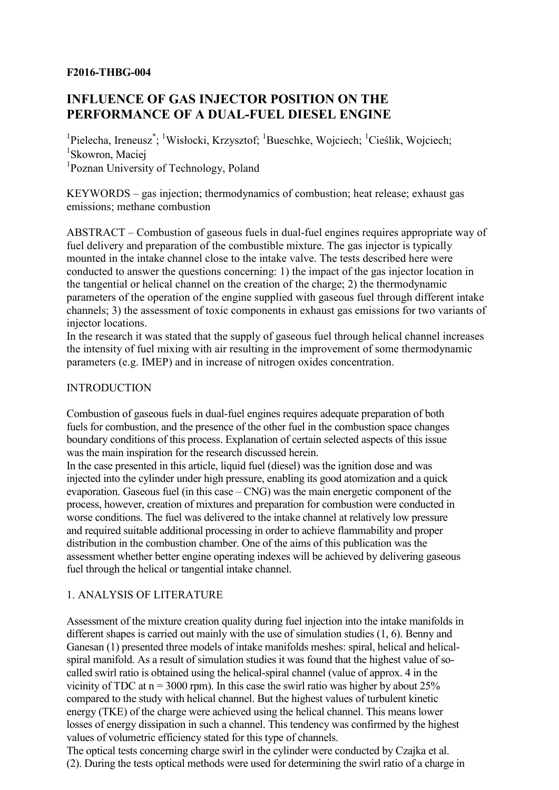## **F2016-THBG-004**

# **INFLUENCE OF GAS INJECTOR POSITION ON THE PERFORMANCE OF A DUAL-FUEL DIESEL ENGINE**

<sup>1</sup>Pielecha, Ireneusz<sup>\*</sup>; <sup>1</sup>Wisłocki, Krzysztof; <sup>1</sup>Bueschke, Wojciech; <sup>1</sup>Cieślik, Wojciech; <sup>1</sup>Skowron, Maciej <sup>1</sup>Poznan University of Technology, Poland

KEYWORDS – gas injection; thermodynamics of combustion; heat release; exhaust gas emissions; methane combustion

ABSTRACT – Combustion of gaseous fuels in dual-fuel engines requires appropriate way of fuel delivery and preparation of the combustible mixture. The gas injector is typically mounted in the intake channel close to the intake valve. The tests described here were conducted to answer the questions concerning: 1) the impact of the gas injector location in the tangential or helical channel on the creation of the charge; 2) the thermodynamic parameters of the operation of the engine supplied with gaseous fuel through different intake channels; 3) the assessment of toxic components in exhaust gas emissions for two variants of injector locations.

In the research it was stated that the supply of gaseous fuel through helical channel increases the intensity of fuel mixing with air resulting in the improvement of some thermodynamic parameters (e.g. IMEP) and in increase of nitrogen oxides concentration.

## INTRODUCTION

Combustion of gaseous fuels in dual-fuel engines requires adequate preparation of both fuels for combustion, and the presence of the other fuel in the combustion space changes boundary conditions of this process. Explanation of certain selected aspects of this issue was the main inspiration for the research discussed herein.

In the case presented in this article, liquid fuel (diesel) was the ignition dose and was injected into the cylinder under high pressure, enabling its good atomization and a quick evaporation. Gaseous fuel (in this case – CNG) was the main energetic component of the process, however, creation of mixtures and preparation for combustion were conducted in worse conditions. The fuel was delivered to the intake channel at relatively low pressure and required suitable additional processing in order to achieve flammability and proper distribution in the combustion chamber. One of the aims of this publication was the assessment whether better engine operating indexes will be achieved by delivering gaseous fuel through the helical or tangential intake channel.

## 1. ANALYSIS OF LITERATURE

Assessment of the mixture creation quality during fuel injection into the intake manifolds in different shapes is carried out mainly with the use of simulation studies (1, 6). Benny and Ganesan (1) presented three models of intake manifolds meshes: spiral, helical and helicalspiral manifold. As a result of simulation studies it was found that the highest value of socalled swirl ratio is obtained using the helical-spiral channel (value of approx. 4 in the vicinity of TDC at  $n = 3000$  rpm). In this case the swirl ratio was higher by about 25% compared to the study with helical channel. But the highest values of turbulent kinetic energy (TKE) of the charge were achieved using the helical channel. This means lower losses of energy dissipation in such a channel. This tendency was confirmed by the highest values of volumetric efficiency stated for this type of channels.

The optical tests concerning charge swirl in the cylinder were conducted by Czajka et al. (2). During the tests optical methods were used for determining the swirl ratio of a charge in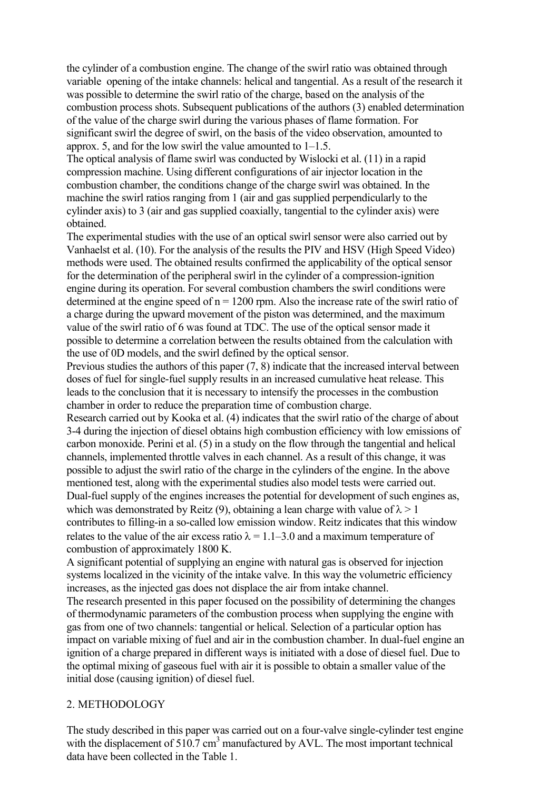the cylinder of a combustion engine. The change of the swirl ratio was obtained through variable opening of the intake channels: helical and tangential. As a result of the research it was possible to determine the swirl ratio of the charge, based on the analysis of the combustion process shots. Subsequent publications of the authors (3) enabled determination of the value of the charge swirl during the various phases of flame formation. For significant swirl the degree of swirl, on the basis of the video observation, amounted to approx. 5, and for the low swirl the value amounted to  $1-1.5$ .

The optical analysis of flame swirl was conducted by Wislocki et al. (11) in a rapid compression machine. Using different configurations of air injector location in the combustion chamber, the conditions change of the charge swirl was obtained. In the machine the swirl ratios ranging from 1 (air and gas supplied perpendicularly to the cylinder axis) to 3 (air and gas supplied coaxially, tangential to the cylinder axis) were obtained.

The experimental studies with the use of an optical swirl sensor were also carried out by Vanhaelst et al. (10). For the analysis of the results the PIV and HSV (High Speed Video) methods were used. The obtained results confirmed the applicability of the optical sensor for the determination of the peripheral swirl in the cylinder of a compression-ignition engine during its operation. For several combustion chambers the swirl conditions were determined at the engine speed of  $n = 1200$  rpm. Also the increase rate of the swirl ratio of a charge during the upward movement of the piston was determined, and the maximum value of the swirl ratio of 6 was found at TDC. The use of the optical sensor made it possible to determine a correlation between the results obtained from the calculation with the use of 0D models, and the swirl defined by the optical sensor.

Previous studies the authors of this paper (7, 8) indicate that the increased interval between doses of fuel for single-fuel supply results in an increased cumulative heat release. This leads to the conclusion that it is necessary to intensify the processes in the combustion chamber in order to reduce the preparation time of combustion charge.

Research carried out by Kooka et al. (4) indicates that the swirl ratio of the charge of about 3-4 during the injection of diesel obtains high combustion efficiency with low emissions of carbon monoxide. Perini et al. (5) in a study on the flow through the tangential and helical channels, implemented throttle valves in each channel. As a result of this change, it was possible to adjust the swirl ratio of the charge in the cylinders of the engine. In the above mentioned test, along with the experimental studies also model tests were carried out. Dual-fuel supply of the engines increases the potential for development of such engines as, which was demonstrated by Reitz (9), obtaining a lean charge with value of  $\lambda > 1$ contributes to filling-in a so-called low emission window. Reitz indicates that this window relates to the value of the air excess ratio  $\lambda = 1.1 - 3.0$  and a maximum temperature of combustion of approximately 1800 K.

A significant potential of supplying an engine with natural gas is observed for injection systems localized in the vicinity of the intake valve. In this way the volumetric efficiency increases, as the injected gas does not displace the air from intake channel.

The research presented in this paper focused on the possibility of determining the changes of thermodynamic parameters of the combustion process when supplying the engine with gas from one of two channels: tangential or helical. Selection of a particular option has impact on variable mixing of fuel and air in the combustion chamber. In dual-fuel engine an ignition of a charge prepared in different ways is initiated with a dose of diesel fuel. Due to the optimal mixing of gaseous fuel with air it is possible to obtain a smaller value of the initial dose (causing ignition) of diesel fuel.

## 2. METHODOLOGY

The study described in this paper was carried out on a four-valve single-cylinder test engine with the displacement of  $510.7 \text{ cm}^3$  manufactured by AVL. The most important technical data have been collected in the Table 1.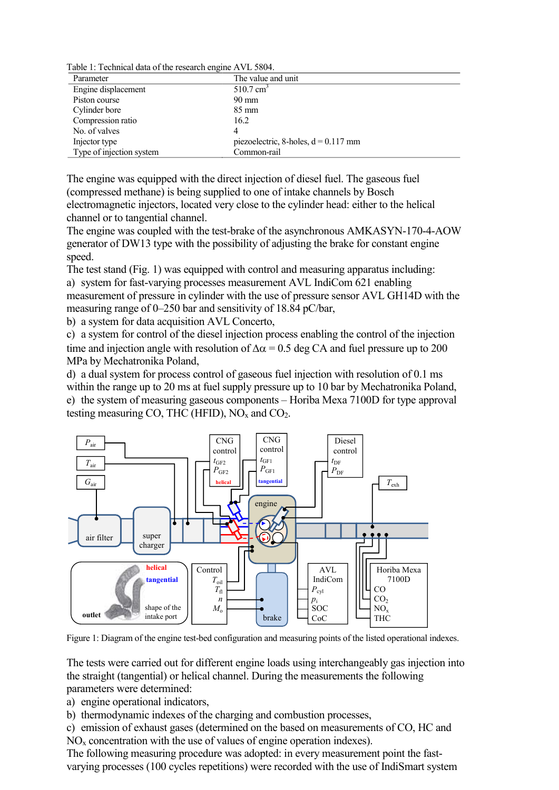Table 1: Technical data of the research engine AVL 5804.

| Parameter                | The value and unit                     |
|--------------------------|----------------------------------------|
| Engine displacement      | $510.7 \text{ cm}^3$                   |
| Piston course            | 90 mm                                  |
| Cylinder bore            | $85 \text{ mm}$                        |
| Compression ratio        | 16.2                                   |
| No. of valves            | 4                                      |
| Injector type            | piezoelectric, 8-holes, $d = 0.117$ mm |
| Type of injection system | Common-rail                            |

The engine was equipped with the direct injection of diesel fuel. The gaseous fuel (compressed methane) is being supplied to one of intake channels by Bosch electromagnetic injectors, located very close to the cylinder head: either to the helical channel or to tangential channel.

The engine was coupled with the test-brake of the asynchronous AMKASYN-170-4-AOW generator of DW13 type with the possibility of adjusting the brake for constant engine speed.

The test stand (Fig. 1) was equipped with control and measuring apparatus including: a) system for fast-varying processes measurement AVL IndiCom 621 enabling measurement of pressure in cylinder with the use of pressure sensor AVL GH14D with the measuring range of 0–250 bar and sensitivity of 18.84 pC/bar,

b) a system for data acquisition AVL Concerto,

c) a system for control of the diesel injection process enabling the control of the injection time and injection angle with resolution of  $\Delta \alpha = 0.5$  deg CA and fuel pressure up to 200 MPa by Mechatronika Poland,

d) a dual system for process control of gaseous fuel injection with resolution of 0.1 ms within the range up to 20 ms at fuel supply pressure up to 10 bar by Mechatronika Poland, e) the system of measuring gaseous components – Horiba Mexa 7100D for type approval testing measuring CO, THC (HFID),  $NO_x$  and  $CO_2$ .



Figure 1: Diagram of the engine test-bed configuration and measuring points of the listed operational indexes.

The tests were carried out for different engine loads using interchangeably gas injection into the straight (tangential) or helical channel. During the measurements the following parameters were determined:

a) engine operational indicators,

b) thermodynamic indexes of the charging and combustion processes,

c) emission of exhaust gases (determined on the based on measurements of CO, HC and  $NO<sub>x</sub>$  concentration with the use of values of engine operation indexes).

The following measuring procedure was adopted: in every measurement point the fastvarying processes (100 cycles repetitions) were recorded with the use of IndiSmart system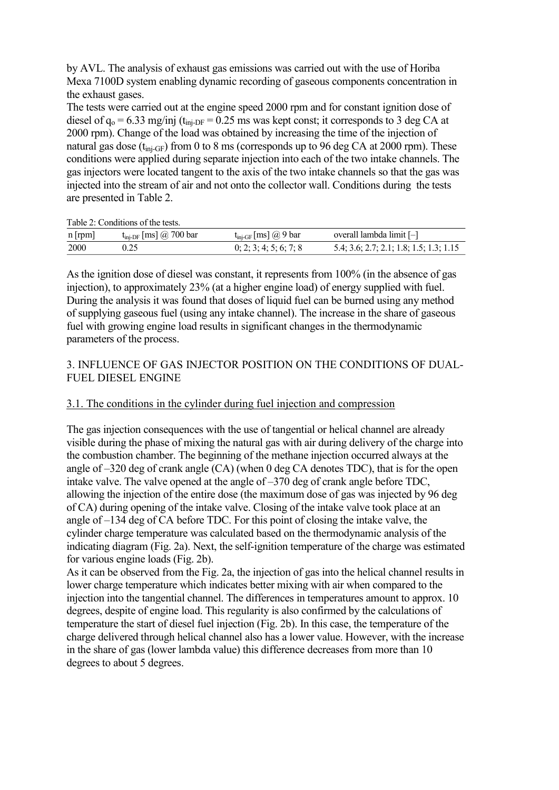by AVL. The analysis of exhaust gas emissions was carried out with the use of Horiba Mexa 7100D system enabling dynamic recording of gaseous components concentration in the exhaust gases.

The tests were carried out at the engine speed 2000 rpm and for constant ignition dose of diesel of  $q_0 = 6.33$  mg/inj  $(t_{\text{ini-DF}} = 0.25$  ms was kept const; it corresponds to 3 deg CA at 2000 rpm). Change of the load was obtained by increasing the time of the injection of natural gas dose  $(t_{\text{ini-GF}})$  from 0 to 8 ms (corresponds up to 96 deg CA at 2000 rpm). These conditions were applied during separate injection into each of the two intake channels. The gas injectors were located tangent to the axis of the two intake channels so that the gas was injected into the stream of air and not onto the collector wall. Conditions during the tests are presented in Table 2.

Table 2: Conditions of the tests.

| $n  $ rpm | $t_{\text{ini-DF}}$ [ms] $@$ 700 bar | $t_{\text{ini-GF}}$ [ms] $@9$ bar | overall lambda limit $[-]$              |
|-----------|--------------------------------------|-----------------------------------|-----------------------------------------|
| 2000      |                                      | 0: 2: 3: 4: 5: 6: 7: 8            | 5.4; 3.6; 2.7; 2.1; 1.8; 1.5; 1.3; 1.15 |

As the ignition dose of diesel was constant, it represents from 100% (in the absence of gas injection), to approximately 23% (at a higher engine load) of energy supplied with fuel. During the analysis it was found that doses of liquid fuel can be burned using any method of supplying gaseous fuel (using any intake channel). The increase in the share of gaseous fuel with growing engine load results in significant changes in the thermodynamic parameters of the process.

## 3. INFLUENCE OF GAS INJECTOR POSITION ON THE CONDITIONS OF DUAL-FUEL DIESEL ENGINE

## 3.1. The conditions in the cylinder during fuel injection and compression

The gas injection consequences with the use of tangential or helical channel are already visible during the phase of mixing the natural gas with air during delivery of the charge into the combustion chamber. The beginning of the methane injection occurred always at the angle of –320 deg of crank angle (CA) (when 0 deg CA denotes TDC), that is for the open intake valve. The valve opened at the angle of –370 deg of crank angle before TDC, allowing the injection of the entire dose (the maximum dose of gas was injected by 96 deg of CA) during opening of the intake valve. Closing of the intake valve took place at an angle of –134 deg of CA before TDC. For this point of closing the intake valve, the cylinder charge temperature was calculated based on the thermodynamic analysis of the indicating diagram (Fig. 2a). Next, the self-ignition temperature of the charge was estimated for various engine loads (Fig. 2b).

As it can be observed from the Fig. 2a, the injection of gas into the helical channel results in lower charge temperature which indicates better mixing with air when compared to the injection into the tangential channel. The differences in temperatures amount to approx. 10 degrees, despite of engine load. This regularity is also confirmed by the calculations of temperature the start of diesel fuel injection (Fig. 2b). In this case, the temperature of the charge delivered through helical channel also has a lower value. However, with the increase in the share of gas (lower lambda value) this difference decreases from more than 10 degrees to about 5 degrees.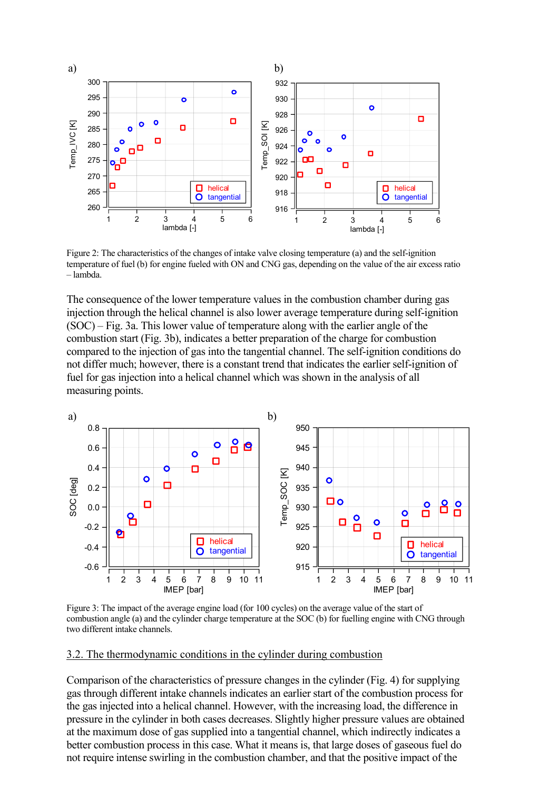

Figure 2: The characteristics of the changes of intake valve closing temperature (a) and the self-ignition temperature of fuel (b) for engine fueled with ON and CNG gas, depending on the value of the air excess ratio – lambda.

The consequence of the lower temperature values in the combustion chamber during gas injection through the helical channel is also lower average temperature during self-ignition  $(SOC) - Fig. 3a$ . This lower value of temperature along with the earlier angle of the combustion start (Fig. 3b), indicates a better preparation of the charge for combustion compared to the injection of gas into the tangential channel. The self-ignition conditions do not differ much; however, there is a constant trend that indicates the earlier self-ignition of fuel for gas injection into a helical channel which was shown in the analysis of all measuring points. Th<br>nj<br>SO  $\overline{1}$ 



Figure 3: The impact of the average engine load (for 100 cycles) on the average value of the start of combustion angle (a) and the cylinder charge temperature at the SOC (b) for fuelling engine with CNG through two different intake channels.

## 3.2. The thermodynamic conditions in the cylinder during combustion

Comparison of the characteristics of pressure changes in the cylinder (Fig. 4) for supplying gas through different intake channels indicates an earlier start of the combustion process for the gas injected into a helical channel. However, with the increasing load, the difference in pressure in the cylinder in both cases decreases. Slightly higher pressure values are obtained at the maximum dose of gas supplied into a tangential channel, which indirectly indicates a better combustion process in this case. What it means is, that large doses of gaseous fuel do not require intense swirling in the combustion chamber, and that the positive impact of the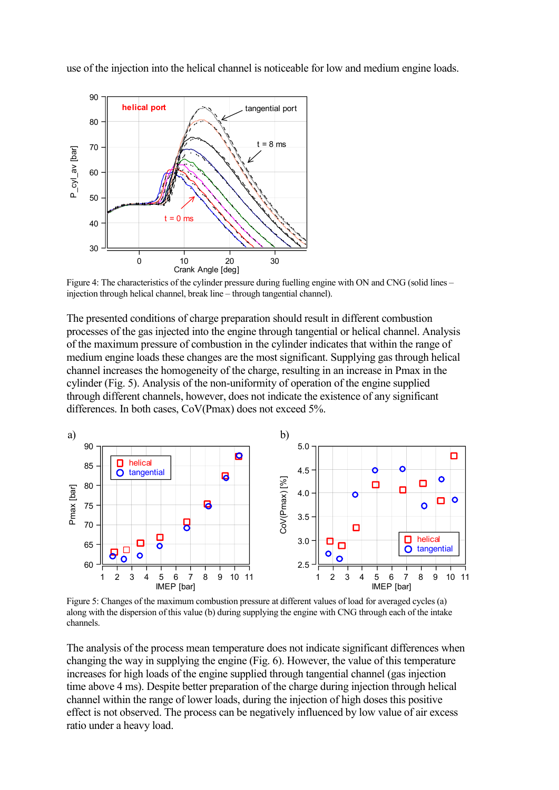

use of the injection into the helical channel is noticeable for low and medium engine loads.

Figure 4: The characteristics of the cylinder pressure during fuelling engine with ON and CNG (solid lines – injection through helical channel, break line – through tangential channel).

The presented conditions of charge preparation should result in different combustion processes of the gas injected into the engine through tangential or helical channel. Analysis of the maximum pressure of combustion in the cylinder indicates that within the range of medium engine loads these changes are the most significant. Supplying gas through helical channel increases the homogeneity of the charge, resulting in an increase in Pmax in the cylinder (Fig. 5). Analysis of the non-uniformity of operation of the engine supplied through different channels, however, does not indicate the existence of any significant differences. In both cases, CoV(Pmax) does not exceed 5%.



Figure 5: Changes of the maximum combustion pressure at different values of load for averaged cycles (a) along with the dispersion of this value (b) during supplying the engine with CNG through each of the intake channels.

The analysis of the process mean temperature does not indicate significant differences when changing the way in supplying the engine (Fig. 6). However, the value of this temperature increases for high loads of the engine supplied through tangential channel (gas injection time above 4 ms). Despite better preparation of the charge during injection through helical channel within the range of lower loads, during the injection of high doses this positive effect is not observed. The process can be negatively influenced by low value of air excess ratio under a heavy load.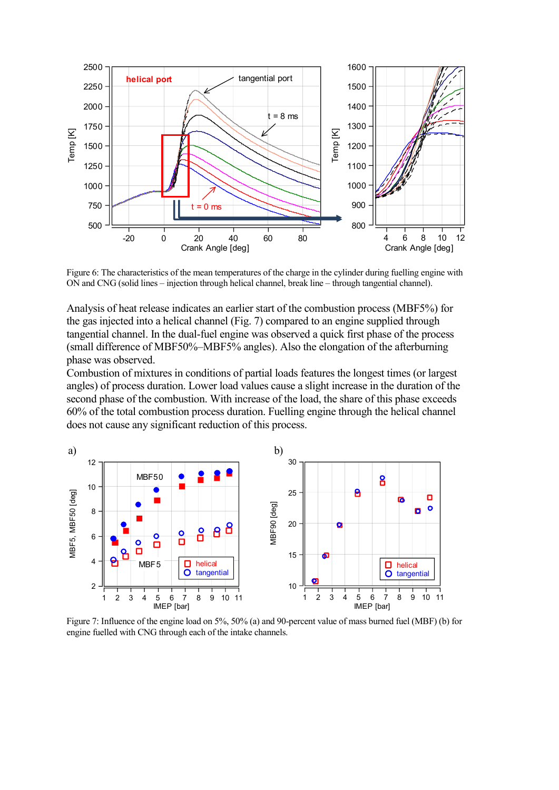

Figure 6: The characteristics of the mean temperatures of the charge in the cylinder during fuelling engine with ON and CNG (solid lines – injection through helical channel, break line – through tangential channel).

Analysis of heat release indicates an earlier start of the combustion process (MBF5%) for the gas injected into a helical channel (Fig. 7) compared to an engine supplied through tangential channel. In the dual-fuel engine was observed a quick first phase of the process (small difference of MBF50%–MBF5% angles). Also the elongation of the afterburning phase was observed.

Combustion of mixtures in conditions of partial loads features the longest times (or largest angles) of process duration. Lower load values cause a slight increase in the duration of the second phase of the combustion. With increase of the load, the share of this phase exceeds 60% of the total combustion process duration. Fuelling engine through the helical channel does not cause any significant reduction of this process.



Figure 7: Influence of the engine load on 5%, 50% (a) and 90-percent value of mass burned fuel (MBF) (b) for engine fuelled with CNG through each of the intake channels.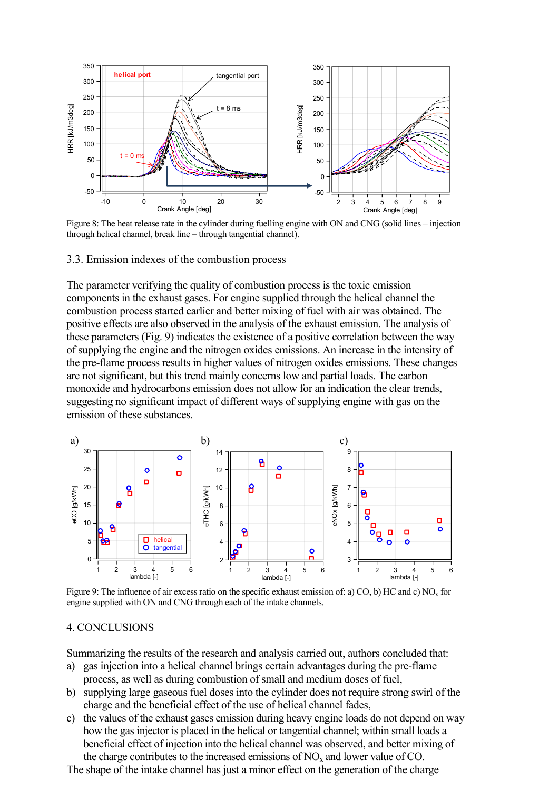

Figure 8: The heat release rate in the cylinder during fuelling engine with ON and CNG (solid lines – injection through helical channel, break line – through tangential channel).

#### 3.3. Emission indexes of the combustion process

The parameter verifying the quality of combustion process is the toxic emission components in the exhaust gases. For engine supplied through the helical channel the combustion process started earlier and better mixing of fuel with air was obtained. The positive effects are also observed in the analysis of the exhaust emission. The analysis of these parameters (Fig. 9) indicates the existence of a positive correlation between the way of supplying the engine and the nitrogen oxides emissions. An increase in the intensity of the pre-flame process results in higher values of nitrogen oxides emissions. These changes are not significant, but this trend mainly concerns low and partial loads. The carbon monoxide and hydrocarbons emission does not allow for an indication the clear trends, suggesting no significant impact of different ways of supplying engine with gas on the emission of these substances.



Figure 9: The influence of air excess ratio on the specific exhaust emission of: a) CO, b) HC and c)  $NO<sub>x</sub>$  for engine supplied with ON and CNG through each of the intake channels.

#### 4. CONCLUSIONS

Summarizing the results of the research and analysis carried out, authors concluded that:

- a) gas injection into a helical channel brings certain advantages during the pre-flame process, as well as during combustion of small and medium doses of fuel,
- b) supplying large gaseous fuel doses into the cylinder does not require strong swirl of the charge and the beneficial effect of the use of helical channel fades,
- c) the values of the exhaust gases emission during heavy engine loads do not depend on way how the gas injector is placed in the helical or tangential channel; within small loads a beneficial effect of injection into the helical channel was observed, and better mixing of the charge contributes to the increased emissions of  $NO<sub>x</sub>$  and lower value of CO.

The shape of the intake channel has just a minor effect on the generation of the charge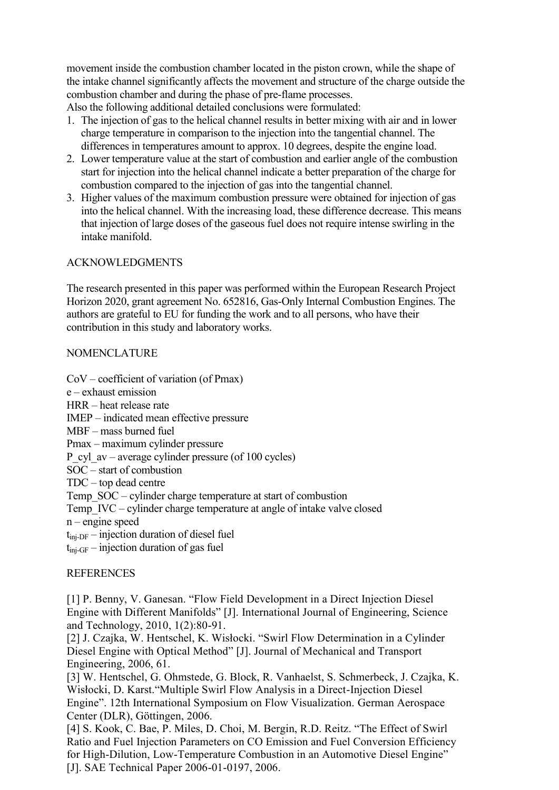movement inside the combustion chamber located in the piston crown, while the shape of the intake channel significantly affects the movement and structure of the charge outside the combustion chamber and during the phase of pre-flame processes.

Also the following additional detailed conclusions were formulated:

- 1. The injection of gas to the helical channel results in better mixing with air and in lower charge temperature in comparison to the injection into the tangential channel. The differences in temperatures amount to approx. 10 degrees, despite the engine load.
- 2. Lower temperature value at the start of combustion and earlier angle of the combustion start for injection into the helical channel indicate a better preparation of the charge for combustion compared to the injection of gas into the tangential channel.
- 3. Higher values of the maximum combustion pressure were obtained for injection of gas into the helical channel. With the increasing load, these difference decrease. This means that injection of large doses of the gaseous fuel does not require intense swirling in the intake manifold.

## ACKNOWLEDGMENTS

The research presented in this paper was performed within the European Research Project Horizon 2020, grant agreement No. 652816, Gas-Only Internal Combustion Engines. The authors are grateful to EU for funding the work and to all persons, who have their contribution in this study and laboratory works.

## NOMENCLATURE

CoV – coefficient of variation (of Pmax) e – exhaust emission HRR – heat release rate IMEP – indicated mean effective pressure MBF – mass burned fuel Pmax – maximum cylinder pressure P cyl av – average cylinder pressure (of 100 cycles) SOC – start of combustion TDC – top dead centre Temp\_SOC – cylinder charge temperature at start of combustion Temp IVC – cylinder charge temperature at angle of intake valve closed  $n$  – engine speed  $t_{\text{ini-DF}}$  – injection duration of diesel fuel

 $t_{\text{ini-GF}}$  – injection duration of gas fuel

## **REFERENCES**

[1] P. Benny, V. Ganesan. "Flow Field Development in a Direct Injection Diesel Engine with Different Manifolds" [J]. International Journal of Engineering, Science and Technology, 2010, 1(2):80-91.

[2] J. Czajka, W. Hentschel, K. Wisłocki. "Swirl Flow Determination in a Cylinder Diesel Engine with Optical Method" [J]. Journal of Mechanical and Transport Engineering, 2006, 61.

[3] W. Hentschel, G. Ohmstede, G. Block, R. Vanhaelst, S. Schmerbeck, J. Czajka, K. Wisłocki, D. Karst."Multiple Swirl Flow Analysis in a Direct-Injection Diesel Engine". 12th International Symposium on Flow Visualization. German Aerospace Center (DLR), Göttingen, 2006.

[4] S. Kook, C. Bae, P. Miles, D. Choi, M. Bergin, R.D. Reitz. "The Effect of Swirl Ratio and Fuel Injection Parameters on CO Emission and Fuel Conversion Efficiency for High-Dilution, Low-Temperature Combustion in an Automotive Diesel Engine" [J]. SAE Technical Paper 2006-01-0197, 2006.